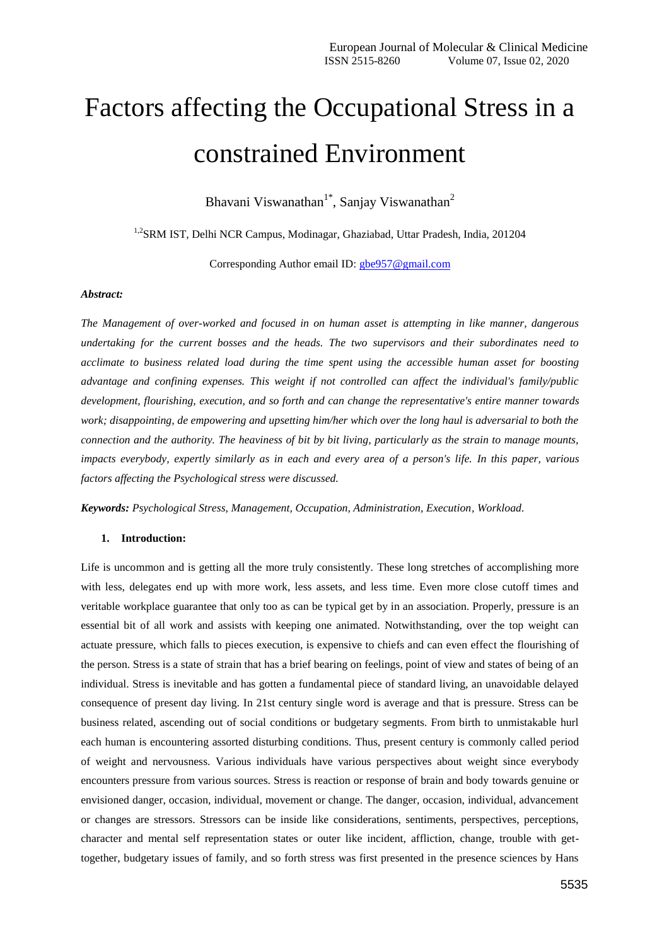# Factors affecting the Occupational Stress in a constrained Environment

Bhavani Viswanathan<sup>1\*</sup>, Sanjay Viswanathan<sup>2</sup>

1,2SRM IST, Delhi NCR Campus, Modinagar, Ghaziabad, Uttar Pradesh, India, 201204

Corresponding Author email ID: [gbe957@gmail.com](mailto:gbe957@gmail.com)

## *Abstract:*

*The Management of over-worked and focused in on human asset is attempting in like manner, dangerous undertaking for the current bosses and the heads. The two supervisors and their subordinates need to acclimate to business related load during the time spent using the accessible human asset for boosting advantage and confining expenses. This weight if not controlled can affect the individual's family/public development, flourishing, execution, and so forth and can change the representative's entire manner towards work; disappointing, de empowering and upsetting him/her which over the long haul is adversarial to both the connection and the authority. The heaviness of bit by bit living, particularly as the strain to manage mounts, impacts everybody, expertly similarly as in each and every area of a person's life. In this paper, various factors affecting the Psychological stress were discussed.*

*Keywords: Psychological Stress, Management, Occupation, Administration, Execution, Workload.*

# **1. Introduction:**

Life is uncommon and is getting all the more truly consistently. These long stretches of accomplishing more with less, delegates end up with more work, less assets, and less time. Even more close cutoff times and veritable workplace guarantee that only too as can be typical get by in an association. Properly, pressure is an essential bit of all work and assists with keeping one animated. Notwithstanding, over the top weight can actuate pressure, which falls to pieces execution, is expensive to chiefs and can even effect the flourishing of the person. Stress is a state of strain that has a brief bearing on feelings, point of view and states of being of an individual. Stress is inevitable and has gotten a fundamental piece of standard living, an unavoidable delayed consequence of present day living. In 21st century single word is average and that is pressure. Stress can be business related, ascending out of social conditions or budgetary segments. From birth to unmistakable hurl each human is encountering assorted disturbing conditions. Thus, present century is commonly called period of weight and nervousness. Various individuals have various perspectives about weight since everybody encounters pressure from various sources. Stress is reaction or response of brain and body towards genuine or envisioned danger, occasion, individual, movement or change. The danger, occasion, individual, advancement or changes are stressors. Stressors can be inside like considerations, sentiments, perspectives, perceptions, character and mental self representation states or outer like incident, affliction, change, trouble with gettogether, budgetary issues of family, and so forth stress was first presented in the presence sciences by Hans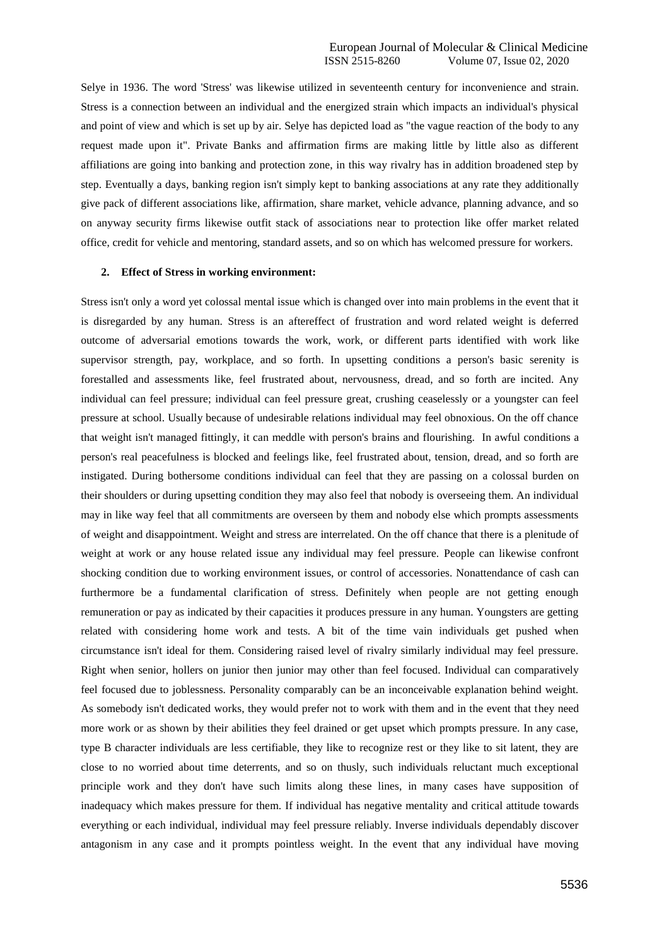Selye in 1936. The word 'Stress' was likewise utilized in seventeenth century for inconvenience and strain. Stress is a connection between an individual and the energized strain which impacts an individual's physical and point of view and which is set up by air. Selye has depicted load as "the vague reaction of the body to any request made upon it". Private Banks and affirmation firms are making little by little also as different affiliations are going into banking and protection zone, in this way rivalry has in addition broadened step by step. Eventually a days, banking region isn't simply kept to banking associations at any rate they additionally give pack of different associations like, affirmation, share market, vehicle advance, planning advance, and so on anyway security firms likewise outfit stack of associations near to protection like offer market related office, credit for vehicle and mentoring, standard assets, and so on which has welcomed pressure for workers.

## **2. Effect of Stress in working environment:**

Stress isn't only a word yet colossal mental issue which is changed over into main problems in the event that it is disregarded by any human. Stress is an aftereffect of frustration and word related weight is deferred outcome of adversarial emotions towards the work, work, or different parts identified with work like supervisor strength, pay, workplace, and so forth. In upsetting conditions a person's basic serenity is forestalled and assessments like, feel frustrated about, nervousness, dread, and so forth are incited. Any individual can feel pressure; individual can feel pressure great, crushing ceaselessly or a youngster can feel pressure at school. Usually because of undesirable relations individual may feel obnoxious. On the off chance that weight isn't managed fittingly, it can meddle with person's brains and flourishing. In awful conditions a person's real peacefulness is blocked and feelings like, feel frustrated about, tension, dread, and so forth are instigated. During bothersome conditions individual can feel that they are passing on a colossal burden on their shoulders or during upsetting condition they may also feel that nobody is overseeing them. An individual may in like way feel that all commitments are overseen by them and nobody else which prompts assessments of weight and disappointment. Weight and stress are interrelated. On the off chance that there is a plenitude of weight at work or any house related issue any individual may feel pressure. People can likewise confront shocking condition due to working environment issues, or control of accessories. Nonattendance of cash can furthermore be a fundamental clarification of stress. Definitely when people are not getting enough remuneration or pay as indicated by their capacities it produces pressure in any human. Youngsters are getting related with considering home work and tests. A bit of the time vain individuals get pushed when circumstance isn't ideal for them. Considering raised level of rivalry similarly individual may feel pressure. Right when senior, hollers on junior then junior may other than feel focused. Individual can comparatively feel focused due to joblessness. Personality comparably can be an inconceivable explanation behind weight. As somebody isn't dedicated works, they would prefer not to work with them and in the event that they need more work or as shown by their abilities they feel drained or get upset which prompts pressure. In any case, type B character individuals are less certifiable, they like to recognize rest or they like to sit latent, they are close to no worried about time deterrents, and so on thusly, such individuals reluctant much exceptional principle work and they don't have such limits along these lines, in many cases have supposition of inadequacy which makes pressure for them. If individual has negative mentality and critical attitude towards everything or each individual, individual may feel pressure reliably. Inverse individuals dependably discover antagonism in any case and it prompts pointless weight. In the event that any individual have moving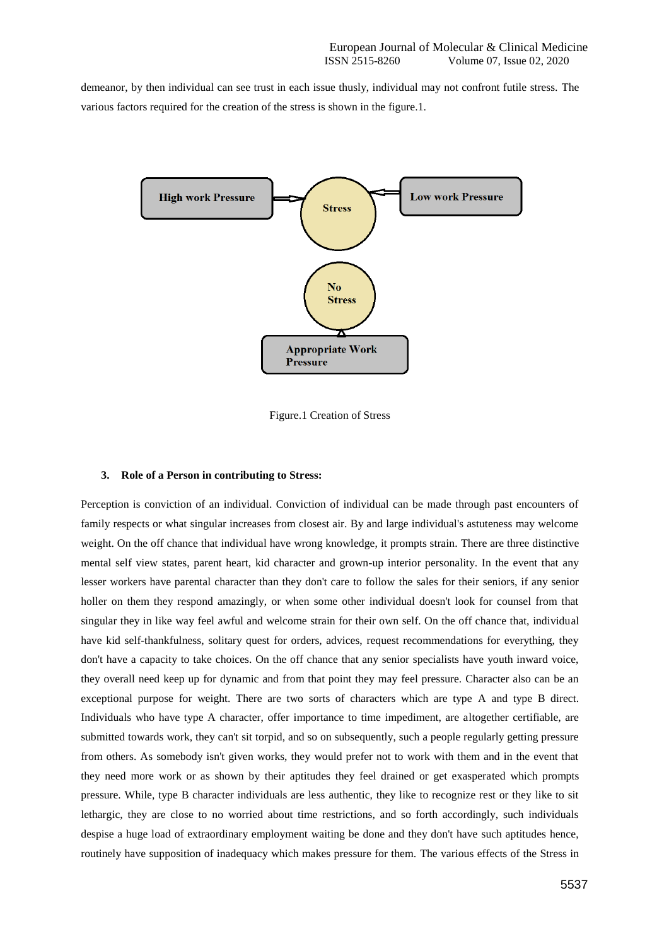demeanor, by then individual can see trust in each issue thusly, individual may not confront futile stress. The various factors required for the creation of the stress is shown in the figure.1.



Figure.1 Creation of Stress

### **3. Role of a Person in contributing to Stress:**

Perception is conviction of an individual. Conviction of individual can be made through past encounters of family respects or what singular increases from closest air. By and large individual's astuteness may welcome weight. On the off chance that individual have wrong knowledge, it prompts strain. There are three distinctive mental self view states, parent heart, kid character and grown-up interior personality. In the event that any lesser workers have parental character than they don't care to follow the sales for their seniors, if any senior holler on them they respond amazingly, or when some other individual doesn't look for counsel from that singular they in like way feel awful and welcome strain for their own self. On the off chance that, individual have kid self-thankfulness, solitary quest for orders, advices, request recommendations for everything, they don't have a capacity to take choices. On the off chance that any senior specialists have youth inward voice, they overall need keep up for dynamic and from that point they may feel pressure. Character also can be an exceptional purpose for weight. There are two sorts of characters which are type A and type B direct. Individuals who have type A character, offer importance to time impediment, are altogether certifiable, are submitted towards work, they can't sit torpid, and so on subsequently, such a people regularly getting pressure from others. As somebody isn't given works, they would prefer not to work with them and in the event that they need more work or as shown by their aptitudes they feel drained or get exasperated which prompts pressure. While, type B character individuals are less authentic, they like to recognize rest or they like to sit lethargic, they are close to no worried about time restrictions, and so forth accordingly, such individuals despise a huge load of extraordinary employment waiting be done and they don't have such aptitudes hence, routinely have supposition of inadequacy which makes pressure for them. The various effects of the Stress in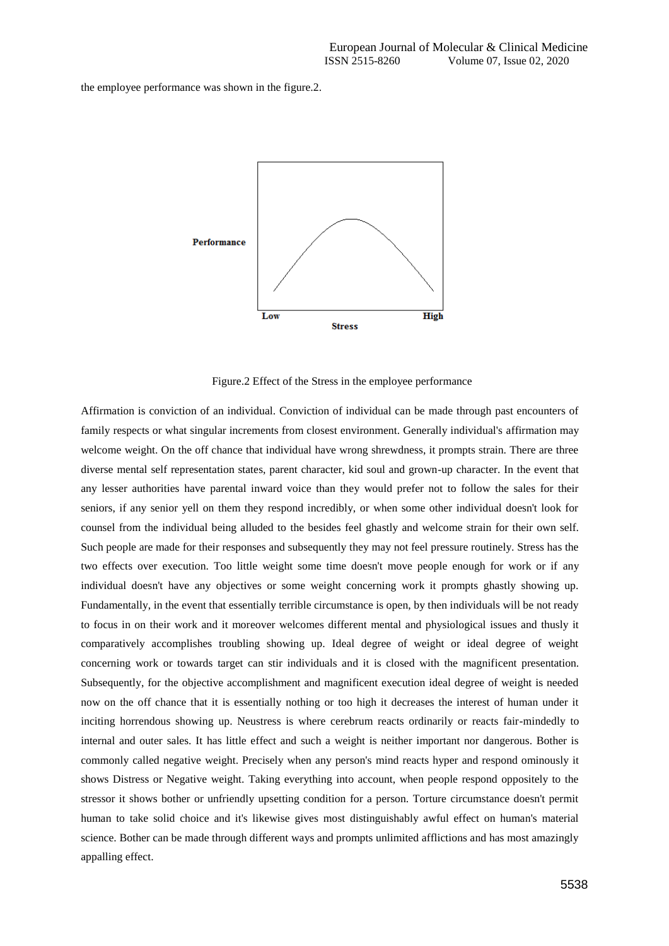the employee performance was shown in the figure.2.



Figure.2 Effect of the Stress in the employee performance

Affirmation is conviction of an individual. Conviction of individual can be made through past encounters of family respects or what singular increments from closest environment. Generally individual's affirmation may welcome weight. On the off chance that individual have wrong shrewdness, it prompts strain. There are three diverse mental self representation states, parent character, kid soul and grown-up character. In the event that any lesser authorities have parental inward voice than they would prefer not to follow the sales for their seniors, if any senior yell on them they respond incredibly, or when some other individual doesn't look for counsel from the individual being alluded to the besides feel ghastly and welcome strain for their own self. Such people are made for their responses and subsequently they may not feel pressure routinely. Stress has the two effects over execution. Too little weight some time doesn't move people enough for work or if any individual doesn't have any objectives or some weight concerning work it prompts ghastly showing up. Fundamentally, in the event that essentially terrible circumstance is open, by then individuals will be not ready to focus in on their work and it moreover welcomes different mental and physiological issues and thusly it comparatively accomplishes troubling showing up. Ideal degree of weight or ideal degree of weight concerning work or towards target can stir individuals and it is closed with the magnificent presentation. Subsequently, for the objective accomplishment and magnificent execution ideal degree of weight is needed now on the off chance that it is essentially nothing or too high it decreases the interest of human under it inciting horrendous showing up. Neustress is where cerebrum reacts ordinarily or reacts fair-mindedly to internal and outer sales. It has little effect and such a weight is neither important nor dangerous. Bother is commonly called negative weight. Precisely when any person's mind reacts hyper and respond ominously it shows Distress or Negative weight. Taking everything into account, when people respond oppositely to the stressor it shows bother or unfriendly upsetting condition for a person. Torture circumstance doesn't permit human to take solid choice and it's likewise gives most distinguishably awful effect on human's material science. Bother can be made through different ways and prompts unlimited afflictions and has most amazingly appalling effect.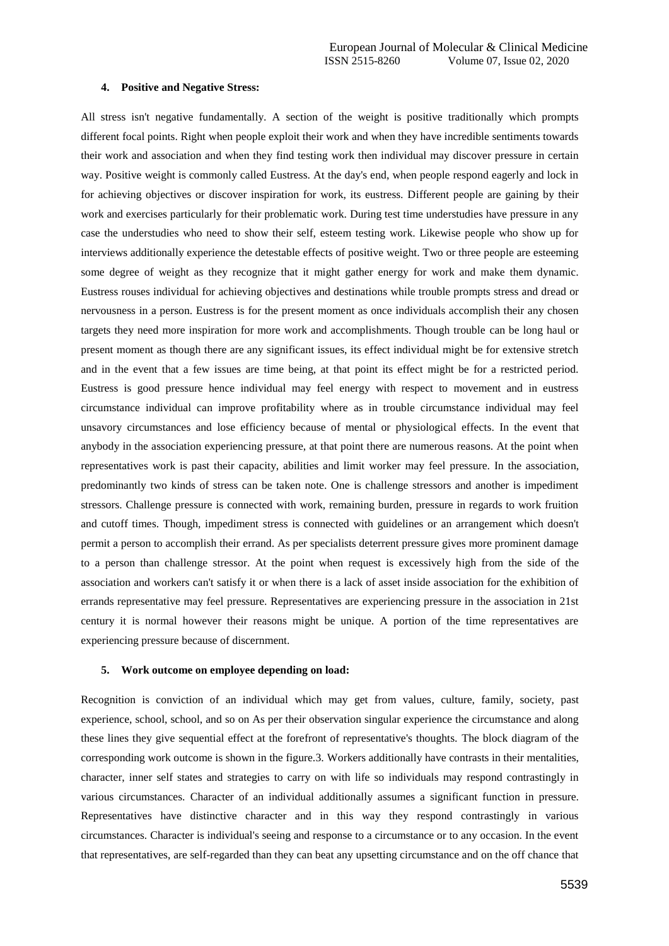#### **4. Positive and Negative Stress:**

All stress isn't negative fundamentally. A section of the weight is positive traditionally which prompts different focal points. Right when people exploit their work and when they have incredible sentiments towards their work and association and when they find testing work then individual may discover pressure in certain way. Positive weight is commonly called Eustress. At the day's end, when people respond eagerly and lock in for achieving objectives or discover inspiration for work, its eustress. Different people are gaining by their work and exercises particularly for their problematic work. During test time understudies have pressure in any case the understudies who need to show their self, esteem testing work. Likewise people who show up for interviews additionally experience the detestable effects of positive weight. Two or three people are esteeming some degree of weight as they recognize that it might gather energy for work and make them dynamic. Eustress rouses individual for achieving objectives and destinations while trouble prompts stress and dread or nervousness in a person. Eustress is for the present moment as once individuals accomplish their any chosen targets they need more inspiration for more work and accomplishments. Though trouble can be long haul or present moment as though there are any significant issues, its effect individual might be for extensive stretch and in the event that a few issues are time being, at that point its effect might be for a restricted period. Eustress is good pressure hence individual may feel energy with respect to movement and in eustress circumstance individual can improve profitability where as in trouble circumstance individual may feel unsavory circumstances and lose efficiency because of mental or physiological effects. In the event that anybody in the association experiencing pressure, at that point there are numerous reasons. At the point when representatives work is past their capacity, abilities and limit worker may feel pressure. In the association, predominantly two kinds of stress can be taken note. One is challenge stressors and another is impediment stressors. Challenge pressure is connected with work, remaining burden, pressure in regards to work fruition and cutoff times. Though, impediment stress is connected with guidelines or an arrangement which doesn't permit a person to accomplish their errand. As per specialists deterrent pressure gives more prominent damage to a person than challenge stressor. At the point when request is excessively high from the side of the association and workers can't satisfy it or when there is a lack of asset inside association for the exhibition of errands representative may feel pressure. Representatives are experiencing pressure in the association in 21st century it is normal however their reasons might be unique. A portion of the time representatives are experiencing pressure because of discernment.

#### **5. Work outcome on employee depending on load:**

Recognition is conviction of an individual which may get from values, culture, family, society, past experience, school, school, and so on As per their observation singular experience the circumstance and along these lines they give sequential effect at the forefront of representative's thoughts. The block diagram of the corresponding work outcome is shown in the figure.3. Workers additionally have contrasts in their mentalities, character, inner self states and strategies to carry on with life so individuals may respond contrastingly in various circumstances. Character of an individual additionally assumes a significant function in pressure. Representatives have distinctive character and in this way they respond contrastingly in various circumstances. Character is individual's seeing and response to a circumstance or to any occasion. In the event that representatives, are self-regarded than they can beat any upsetting circumstance and on the off chance that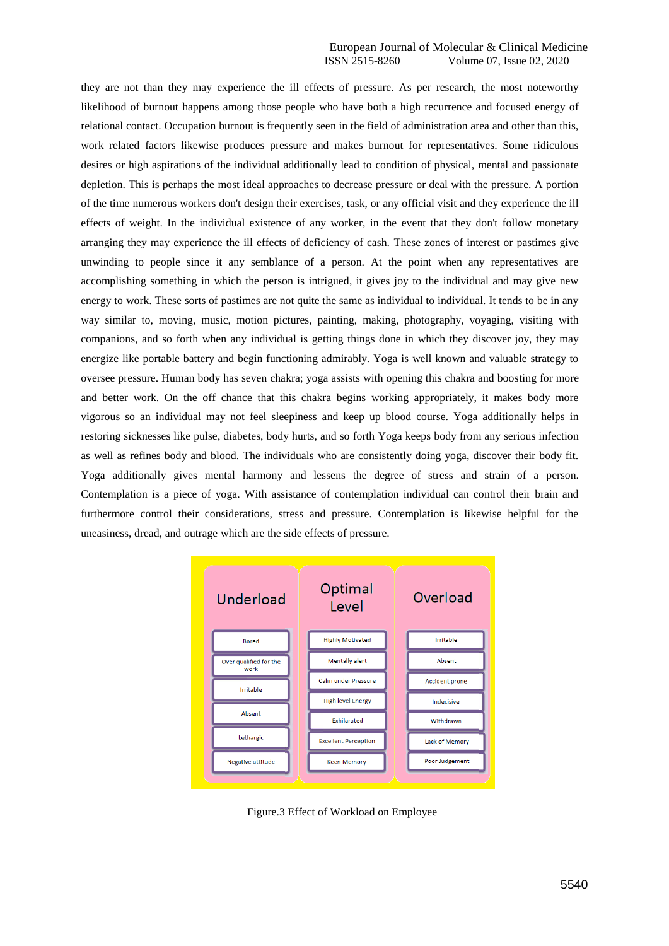they are not than they may experience the ill effects of pressure. As per research, the most noteworthy likelihood of burnout happens among those people who have both a high recurrence and focused energy of relational contact. Occupation burnout is frequently seen in the field of administration area and other than this, work related factors likewise produces pressure and makes burnout for representatives. Some ridiculous desires or high aspirations of the individual additionally lead to condition of physical, mental and passionate depletion. This is perhaps the most ideal approaches to decrease pressure or deal with the pressure. A portion of the time numerous workers don't design their exercises, task, or any official visit and they experience the ill effects of weight. In the individual existence of any worker, in the event that they don't follow monetary arranging they may experience the ill effects of deficiency of cash. These zones of interest or pastimes give unwinding to people since it any semblance of a person. At the point when any representatives are accomplishing something in which the person is intrigued, it gives joy to the individual and may give new energy to work. These sorts of pastimes are not quite the same as individual to individual. It tends to be in any way similar to, moving, music, motion pictures, painting, making, photography, voyaging, visiting with companions, and so forth when any individual is getting things done in which they discover joy, they may energize like portable battery and begin functioning admirably. Yoga is well known and valuable strategy to oversee pressure. Human body has seven chakra; yoga assists with opening this chakra and boosting for more and better work. On the off chance that this chakra begins working appropriately, it makes body more vigorous so an individual may not feel sleepiness and keep up blood course. Yoga additionally helps in restoring sicknesses like pulse, diabetes, body hurts, and so forth Yoga keeps body from any serious infection as well as refines body and blood. The individuals who are consistently doing yoga, discover their body fit. Yoga additionally gives mental harmony and lessens the degree of stress and strain of a person. Contemplation is a piece of yoga. With assistance of contemplation individual can control their brain and furthermore control their considerations, stress and pressure. Contemplation is likewise helpful for the uneasiness, dread, and outrage which are the side effects of pressure.



Figure.3 Effect of Workload on Employee